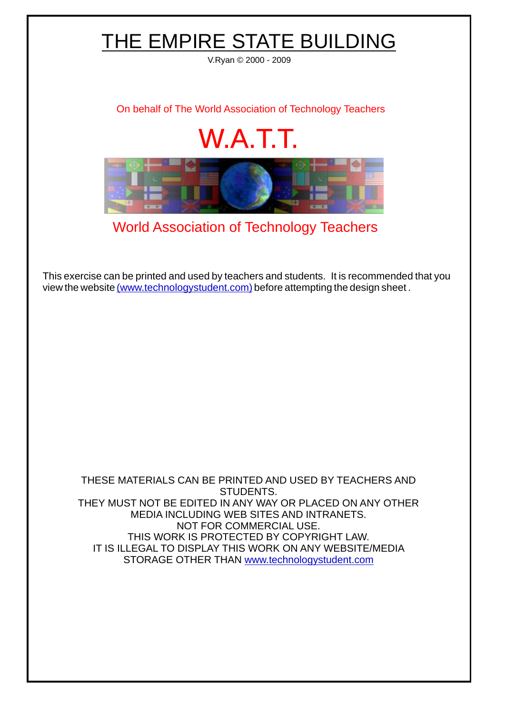## W.A.T.T. [World Association of Technology Teachers](http://www.technologystudent.com) [On behalf of The World Association of Technology Teachers](http://www.technologystudent.com) V.Ryan © 2000 - 2009 THE EMPIRE STATE BUILDING

[This exercise can be printed and used by teachers and students. It is recommended that you](http://www.technologystudent.com/designpro/drawdex.htm) view the website [\(www.technologystudent.com\)](http://www.technologystudent.com) before attempting the design sheet .

THESE MATERIALS CAN BE PRINTED AND USED BY TEACHERS AND STUDENTS. THEY MUST NOT BE EDITED IN ANY WAY OR PLACED ON ANY OTHER MEDIA INCLUDING WEB SITES AND INTRANETS. NOT FOR COMMERCIAL USE. THIS WORK IS PROTECTED BY COPYRIGHT LAW. IT IS ILLEGAL TO DISPLAY THIS WORK ON ANY WEBSITE/MEDIA STORAGE OTHER THAN [www.technologystudent.com](http://www.technologystudent.com)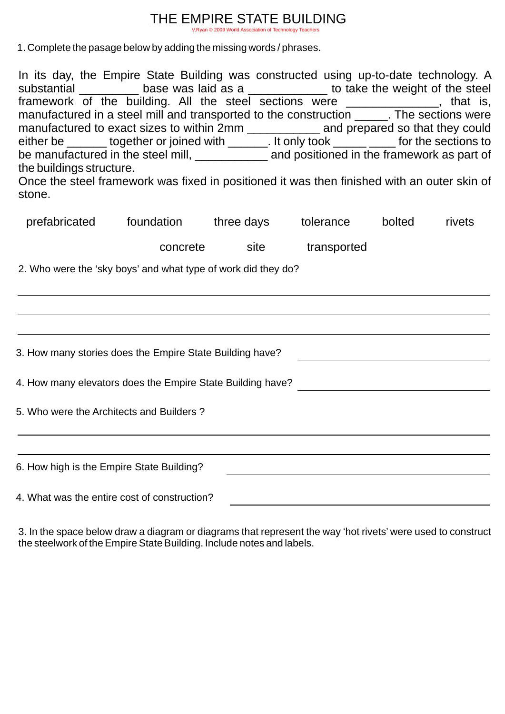## THE EMPIRE STATE BUILDING

rld Association of Technology Teachers

1. Complete the pasage below by adding the missing words / phrases.

| In its day, the Empire State Building was constructed using up-to-date technology. A<br>substantial ___________ base was laid as a ______________ to take the weight of the steel<br>framework of the building. All the steel sections were ____________, that is,<br>manufactured in a steel mill and transported to the construction ______. The sections were<br>manufactured to exact sizes to within 2mm ____________ and prepared so that they could<br>either be ______ together or joined with _______. It only took ________ for the sections to<br>be manufactured in the steel mill, _____________ and positioned in the framework as part of<br>the buildings structure.<br>Once the steel framework was fixed in positioned it was then finished with an outer skin of<br>stone. |                                                      |  |                  |  |        |
|-----------------------------------------------------------------------------------------------------------------------------------------------------------------------------------------------------------------------------------------------------------------------------------------------------------------------------------------------------------------------------------------------------------------------------------------------------------------------------------------------------------------------------------------------------------------------------------------------------------------------------------------------------------------------------------------------------------------------------------------------------------------------------------------------|------------------------------------------------------|--|------------------|--|--------|
|                                                                                                                                                                                                                                                                                                                                                                                                                                                                                                                                                                                                                                                                                                                                                                                               | prefabricated foundation three days tolerance bolted |  |                  |  | rivets |
|                                                                                                                                                                                                                                                                                                                                                                                                                                                                                                                                                                                                                                                                                                                                                                                               | concrete                                             |  | site transported |  |        |
| 2. Who were the 'sky boys' and what type of work did they do?                                                                                                                                                                                                                                                                                                                                                                                                                                                                                                                                                                                                                                                                                                                                 |                                                      |  |                  |  |        |
| 3. How many stories does the Empire State Building have?                                                                                                                                                                                                                                                                                                                                                                                                                                                                                                                                                                                                                                                                                                                                      |                                                      |  |                  |  |        |
| 4. How many elevators does the Empire State Building have?                                                                                                                                                                                                                                                                                                                                                                                                                                                                                                                                                                                                                                                                                                                                    |                                                      |  |                  |  |        |
| 5. Who were the Architects and Builders?                                                                                                                                                                                                                                                                                                                                                                                                                                                                                                                                                                                                                                                                                                                                                      |                                                      |  |                  |  |        |
| 6. How high is the Empire State Building?                                                                                                                                                                                                                                                                                                                                                                                                                                                                                                                                                                                                                                                                                                                                                     |                                                      |  |                  |  |        |
| 4. What was the entire cost of construction?                                                                                                                                                                                                                                                                                                                                                                                                                                                                                                                                                                                                                                                                                                                                                  |                                                      |  |                  |  |        |

3. In the space below draw a diagram or diagrams that represent the way 'hot rivets' were used to construct the steelwork of the Empire State Building. Include notes and labels.